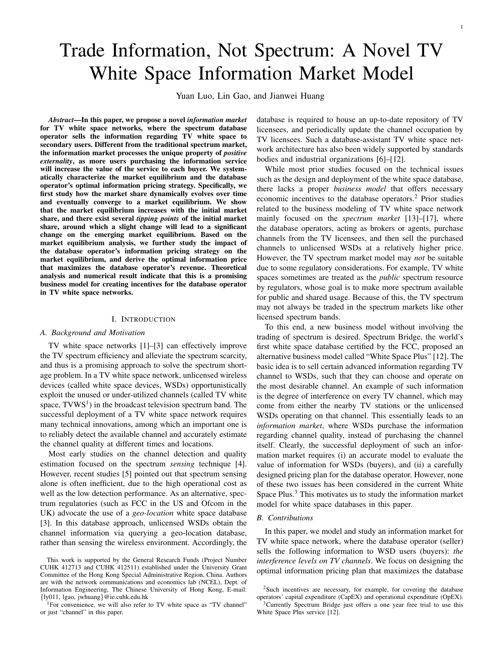# Trade Information, Not Spectrum: A Novel TV White Space Information Market Model

Yuan Luo, Lin Gao, and Jianwei Huang

*Abstract*—In this paper, we propose a novel *information market* for TV white space networks, where the spectrum database operator sells the information regarding TV white space to secondary users. Different from the traditional spectrum market, the information market processes the unique property of *positive externality*, as more users purchasing the information service will increase the value of the service to each buyer. We systematically characterize the market equilibrium and the database operator's optimal information pricing strategy. Specifically, we first study how the market share dynamically evolves over time and eventually converge to a market equilibrium. We show that the market equilibrium increases with the initial market share, and there exist several *tipping points* of the initial market share, around which a slight change will lead to a significant change on the emerging market equilibrium. Based on the market equilibrium analysis, we further study the impact of the database operator's information pricing strategy on the market equilibrium, and derive the optimal information price that maximizes the database operator's revenue. Theoretical analysis and numerical result indicate that this is a promising business model for creating incentives for the database operator in TV white space networks.

#### I. INTRODUCTION

#### *A. Background and Motivation*

TV white space networks [1]–[3] can effectively improve the TV spectrum efficiency and alleviate the spectrum scarcity, and thus is a promising approach to solve the spectrum shortage problem. In a TV white space network, unlicensed wireless devices (called white space devices, WSDs) opportunistically exploit the unused or under-utilized channels (called TV white space,  $TVWS<sup>1</sup>$ ) in the broadcast television spectrum band. The successful deployment of a TV white space network requires many technical innovations, among which an important one is to reliably detect the available channel and accurately estimate the channel quality at different times and locations.

Most early studies on the channel detection and quality estimation focused on the spectrum *sensing* technique [4]. However, recent studies [5] pointed out that spectrum sensing alone is often inefficient, due to the high operational cost as well as the low detection performance. As an alternative, spectrum regulatories (such as FCC in the US and Ofcom in the UK) advocate the use of a *geo-location* white space database [3]. In this database approach, unlicensed WSDs obtain the channel information via querying a geo-location database, rather than sensing the wireless environment. Accordingly, the

<sup>1</sup>For convenience, we will also refer to TV white space as "TV channel" or just "channel" in this paper.

database is required to house an up-to-date repository of TV licensees, and periodically update the channel occupation by TV licensees. Such a database-assistant TV white space network architecture has also been widely supported by standards bodies and industrial organizations [6]–[12].

While most prior studies focused on the technical issues such as the design and deployment of the white space database, there lacks a proper *business model* that offers necessary economic incentives to the database operators.<sup>2</sup> Prior studies related to the business modeling of TV white space network mainly focused on the *spectrum market* [13]–[17], where the database operators, acting as brokers or agents, purchase channels from the TV licensees, and then sell the purchased channels to unlicensed WSDs at a relatively higher price. However, the TV spectrum market model may *not* be suitable due to some regulatory considerations. For example, TV white spaces sometimes are treated as the *public* spectrum resource by regulators, whose goal is to make more spectrum available for public and shared usage. Because of this, the TV spectrum may not always be traded in the spectrum markets like other licensed spectrum bands.

To this end, a new business model without involving the trading of spectrum is desired. Spectrum Bridge, the world's first white space database certified by the FCC, proposed an alternative business model called "White Space Plus" [12]. The basic idea is to sell certain advanced information regarding TV channel to WSDs, such that they can choose and operate on the most desirable channel. An example of such information is the degree of interference on every TV channel, which may come from either the nearby TV stations or the unlicensed WSDs operating on that channel. This essentially leads to an *information market*, where WSDs purchase the information regarding channel quality, instead of purchasing the channel itself. Clearly, the successful deployment of such an information market requires (i) an accurate model to evaluate the value of information for WSDs (buyers), and (ii) a carefully designed pricing plan for the database operator. However, none of these two issues has been considered in the current White Space Plus.<sup>3</sup> This motivates us to study the information market model for white space databases in this paper.

### *B. Contributions*

In this paper, we model and study an information market for TV white space network, where the database operator (seller) sells the following information to WSD users (buyers): *the interference levels on TV channels*. We focus on designing the optimal information pricing plan that maximizes the database

This work is supported by the General Research Funds (Project Number CUHK 412713 and CUHK 412511) established under the University Grant Committee of the Hong Kong Special Administrative Region, China. Authors are with the network communications and economics lab (NCEL), Dept. of Information Engineering, The Chinese University of Hong Kong, E-mail: {ly011, lgao, jwhuang}@ie.cuhk.edu.hk

<sup>&</sup>lt;sup>2</sup>Such incentives are necessary, for example, for covering the database operators' capital expenditure (CapEX) and operational expenditure (OpEX).

<sup>&</sup>lt;sup>3</sup>Currently Spectrum Bridge just offers a one year free trial to use this White Space Plus service [12].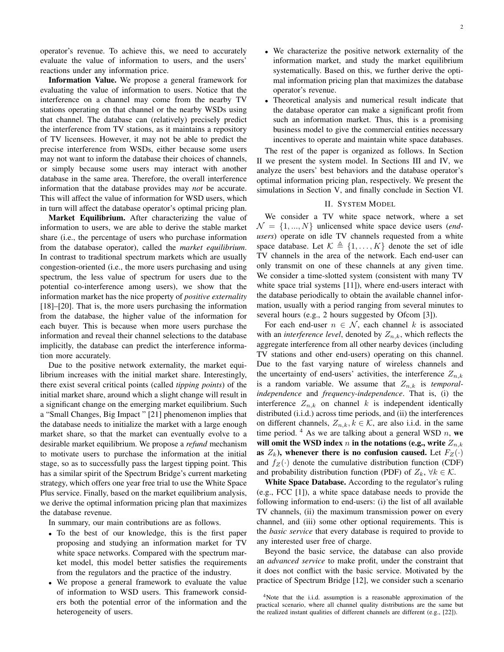operator's revenue. To achieve this, we need to accurately evaluate the value of information to users, and the users' reactions under any information price.

Information Value. We propose a general framework for evaluating the value of information to users. Notice that the interference on a channel may come from the nearby TV stations operating on that channel or the nearby WSDs using that channel. The database can (relatively) precisely predict the interference from TV stations, as it maintains a repository of TV licensees. However, it may not be able to predict the precise interference from WSDs, either because some users may not want to inform the database their choices of channels, or simply because some users may interact with another database in the same area. Therefore, the overall interference information that the database provides may *not* be accurate. This will affect the value of information for WSD users, which in turn will affect the database operator's optimal pricing plan.

Market Equilibrium. After characterizing the value of information to users, we are able to derive the stable market share (i.e., the percentage of users who purchase information from the database operator), called the *market equilibrium*. In contrast to traditional spectrum markets which are usually congestion-oriented (i.e., the more users purchasing and using spectrum, the less value of spectrum for users due to the potential co-interference among users), we show that the information market has the nice property of *positive externality* [18]–[20]. That is, the more users purchasing the information from the database, the higher value of the information for each buyer. This is because when more users purchase the information and reveal their channel selections to the database implicitly, the database can predict the interference information more accurately.

Due to the positive network externality, the market equilibrium increases with the initial market share. Interestingly, there exist several critical points (called *tipping points*) of the initial market share, around which a slight change will result in a significant change on the emerging market equilibrium. Such a "Small Changes, Big Impact " [21] phenomenon implies that the database needs to initialize the market with a large enough market share, so that the market can eventually evolve to a desirable market equilibrium. We propose a *refund* mechanism to motivate users to purchase the information at the initial stage, so as to successfully pass the largest tipping point. This has a similar spirit of the Spectrum Bridge's current marketing strategy, which offers one year free trial to use the White Space Plus service. Finally, based on the market equilibrium analysis, we derive the optimal information pricing plan that maximizes the database revenue.

In summary, our main contributions are as follows.

- To the best of our knowledge, this is the first paper proposing and studying an information market for TV white space networks. Compared with the spectrum market model, this model better satisfies the requirements from the regulators and the practice of the industry.
- We propose a general framework to evaluate the value of information to WSD users. This framework considers both the potential error of the information and the heterogeneity of users.
- We characterize the positive network externality of the information market, and study the market equilibrium systematically. Based on this, we further derive the optimal information pricing plan that maximizes the database operator's revenue.
- Theoretical analysis and numerical result indicate that the database operator can make a significant profit from such an information market. Thus, this is a promising business model to give the commercial entities necessary incentives to operate and maintain white space databases.

The rest of the paper is organized as follows. In Section II we present the system model. In Sections III and IV, we analyze the users' best behaviors and the database operator's optimal information pricing plan, respectively. We present the simulations in Section V, and finally conclude in Section VI.

## II. SYSTEM MODEL

We consider a TV white space network, where a set  $\mathcal{N} = \{1, ..., N\}$  unlicensed white space device users (end*users*) operate on idle TV channels requested from a white space database. Let  $\mathcal{K} \triangleq \{1, \ldots, K\}$  denote the set of idle TV channels in the area of the network. Each end-user can only transmit on one of these channels at any given time. We consider a time-slotted system (consistent with many TV white space trial systems [11]), where end-users interact with the database periodically to obtain the available channel information, usually with a period ranging from several minutes to several hours (e.g., 2 hours suggested by Ofcom [3]).

For each end-user  $n \in \mathcal{N}$ , each channel k is associated with an *interference level*, denoted by  $Z_{n,k}$ , which reflects the aggregate interference from all other nearby devices (including TV stations and other end-users) operating on this channel. Due to the fast varying nature of wireless channels and the uncertainty of end-users' activities, the interference  $Z_{n,k}$ is a random variable. We assume that  $Z_{n,k}$  is *temporalindependence* and *frequency-independence*. That is, (i) the interference  $Z_{n,k}$  on channel k is independent identically distributed (i.i.d.) across time periods, and (ii) the interferences on different channels,  $Z_{n,k}, k \in \mathcal{K}$ , are also i.i.d. in the same time period.  $4$  As we are talking about a general WSD n, we will omit the WSD index  $n$  in the notations (e.g., write  $Z_{n,k}$ ) as  $Z_k$ ), whenever there is no confusion caused. Let  $F_Z(\cdot)$ and  $f_Z(\cdot)$  denote the cumulative distribution function (CDF) and probability distribution function (PDF) of  $Z_k$ ,  $\forall k \in \mathcal{K}$ .

White Space Database. According to the regulator's ruling (e.g., FCC [1]), a white space database needs to provide the following information to end-users: (i) the list of all available TV channels, (ii) the maximum transmission power on every channel, and (iii) some other optional requirements. This is the *basic service* that every database is required to provide to any interested user free of charge.

Beyond the basic service, the database can also provide an *advanced service* to make profit, under the constraint that it does not conflict with the basic service. Motivated by the practice of Spectrum Bridge [12], we consider such a scenario

<sup>4</sup>Note that the i.i.d. assumption is a reasonable approximation of the practical scenario, where all channel quality distributions are the same but the realized instant qualities of different channels are different (e.g., [22]).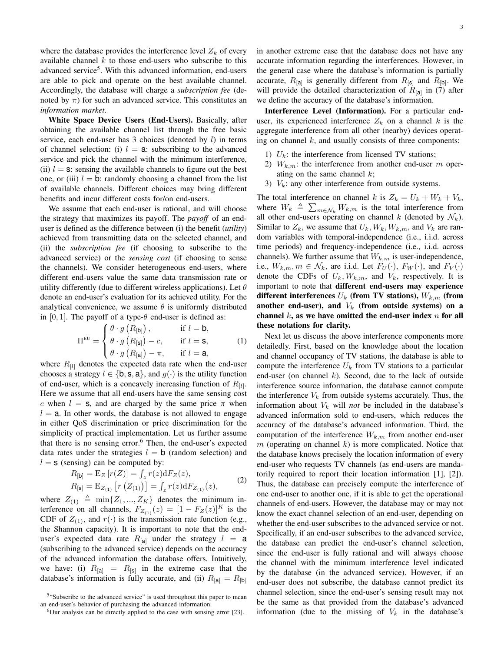where the database provides the interference level  $Z_k$  of every available channel  $k$  to those end-users who subscribe to this advanced service<sup>5</sup>. With this advanced information, end-users are able to pick and operate on the best available channel. Accordingly, the database will charge a *subscription fee* (denoted by  $\pi$ ) for such an advanced service. This constitutes an *information market*.

White Space Device Users (End-Users). Basically, after obtaining the available channel list through the free basic service, each end-user has  $3$  choices (denoted by  $l$ ) in terms of channel selection: (i)  $l = a$ : subscribing to the advanced service and pick the channel with the minimum interference, (ii)  $l = s$ : sensing the available channels to figure out the best one, or (iii)  $l = b$ : randomly choosing a channel from the list of available channels. Different choices may bring different benefits and incur different costs for/on end-users.

We assume that each end-user is rational, and will choose the strategy that maximizes its payoff. The *payoff* of an enduser is defined as the difference between (i) the benefit (*utility*) achieved from transmitting data on the selected channel, and (ii) the *subscription fee* (if choosing to subscribe to the advanced service) or the *sensing cost* (if choosing to sense the channels). We consider heterogeneous end-users, where different end-users value the same data transmission rate or utility differently (due to different wireless applications). Let  $\theta$ denote an end-user's evaluation for its achieved utility. For the analytical convenience, we assume  $\theta$  is uniformly distributed in [0, 1]. The payoff of a type- $\theta$  end-user is defined as:

$$
\Pi^{\text{EU}} = \begin{cases} \theta \cdot g\left(R_{\text{[b]}}\right), & \text{if } l = \mathbf{b}, \\ \theta \cdot g\left(R_{\text{[s]}}\right) - c, & \text{if } l = \mathbf{s}, \\ \theta \cdot g\left(R_{\text{[a]}}\right) - \pi, & \text{if } l = \mathbf{a}, \end{cases}
$$
 (1)

where  $R_{[l]}$  denotes the expected data rate when the end-user chooses a strategy  $l \in \{b, s, a\}$ , and  $g(\cdot)$  is the utility function of end-user, which is a concavely increasing function of  $R_{[l]}$ . Here we assume that all end-users have the same sensing cost c when  $l = s$ , and are charged by the same price  $\pi$  when  $l = a$ . In other words, the database is not allowed to engage in either QoS discrimination or price discrimination for the simplicity of practical implementation. Let us further assume that there is no sensing error.<sup>6</sup> Then, the end-user's expected data rates under the strategies  $l = b$  (random selection) and  $l = s$  (sensing) can be computed by:

$$
R_{[b]} = E_Z [r(Z)] = \int_z r(z) dF_Z(z),
$$
  
\n
$$
R_{[s]} = E_{Z_{(1)}} [r (Z_{(1)})] = \int_z r(z) dF_{Z_{(1)}}(z),
$$
\n(2)

where  $Z_{(1)} \triangleq \min\{Z_1, ..., Z_K\}$  denotes the minimum interference on all channels,  $F_{Z_{(1)}}(z) = [1 - F_Z(z)]^K$  is the CDF of  $Z_{(1)}$ , and  $r(\cdot)$  is the transmission rate function (e.g., the Shannon capacity). It is important to note that the enduser's expected data rate  $R_{[a]}$  under the strategy  $l = a$ (subscribing to the advanced service) depends on the accuracy of the advanced information the database offers. Intuitively, we have: (i)  $R_{\text{a}} = R_{\text{b}}$  in the extreme case that the database's information is fully accurate, and (ii)  $R_{[a]} = R_{[b]}$ 

in another extreme case that the database does not have any accurate information regarding the interferences. However, in the general case where the database's information is partially accurate,  $R_{[a]}$  is generally different from  $R_{[s]}$  and  $R_{[b]}$ . We will provide the detailed characterization of  $R_{[a]}$  in (7) after we define the accuracy of the database's information.

Interference Level (Information). For a particular enduser, its experienced interference  $Z_k$  on a channel k is the aggregate interference from all other (nearby) devices operating on channel  $k$ , and usually consists of three components:

- 1)  $U_k$ : the interference from licensed TV stations;
- 2)  $W_{k,m}$ : the interference from another end-user m operating on the same channel  $k$ ;
- 3)  $V_k$ : any other interference from outside systems.

The total interference on channel k is  $Z_k = U_k + W_k + V_k$ , where  $W_k \triangleq \sum_{m \in \mathcal{N}_k} W_{k,m}$  is the total interference from all other end-users operating on channel k (denoted by  $\mathcal{N}_k$ ). Similar to  $Z_k$ , we assume that  $U_k, W_k, W_{k,m}$ , and  $V_k$  are random variables with temporal-independence (i.e., i.i.d. across time periods) and frequency-independence (i.e., i.i.d. across channels). We further assume that  $W_{k,m}$  is user-independence, i.e.,  $W_{k,m}, m \in \mathcal{N}_k$ , are i.i.d. Let  $F_U(\cdot)$ ,  $F_W(\cdot)$ , and  $F_V(\cdot)$ denote the CDFs of  $U_k$ ,  $W_{k,m}$ , and  $V_k$ , respectively. It is important to note that different end-users may experience different interferences  $U_k$  (from TV stations),  $W_{k,m}$  (from another end-user), and  $V_k$  (from outside systems) on a channel  $k$ , as we have omitted the end-user index  $n$  for all these notations for clarity.

Next let us discuss the above interference components more detailedly. First, based on the knowledge about the location and channel occupancy of TV stations, the database is able to compute the interference  $U_k$  from TV stations to a particular end-user (on channel  $k$ ). Second, due to the lack of outside interference source information, the database cannot compute the interference  $V_k$  from outside systems accurately. Thus, the information about  $V_k$  will *not* be included in the database's advanced information sold to end-users, which reduces the accuracy of the database's advanced information. Third, the computation of the interference  $W_{k,m}$  from another end-user  $m$  (operating on channel  $k$ ) is more complicated. Notice that the database knows precisely the location information of every end-user who requests TV channels (as end-users are mandatorily required to report their location information [1], [2]). Thus, the database can precisely compute the interference of one end-user to another one, if it is able to get the operational channels of end-users. However, the database may or may not know the exact channel selection of an end-user, depending on whether the end-user subscribes to the advanced service or not. Specifically, if an end-user subscribes to the advanced service, the database can predict the end-user's channel selection, since the end-user is fully rational and will always choose the channel with the minimum interference level indicated by the database (in the advanced service). However, if an end-user does not subscribe, the database cannot predict its channel selection, since the end-user's sensing result may not be the same as that provided from the database's advanced information (due to the missing of  $V_k$  in the database's

<sup>&</sup>lt;sup>5</sup>"Subscribe to the advanced service" is used throughout this paper to mean an end-user's behavior of purchasing the advanced information.

 $6$ Our analysis can be directly applied to the case with sensing error [23].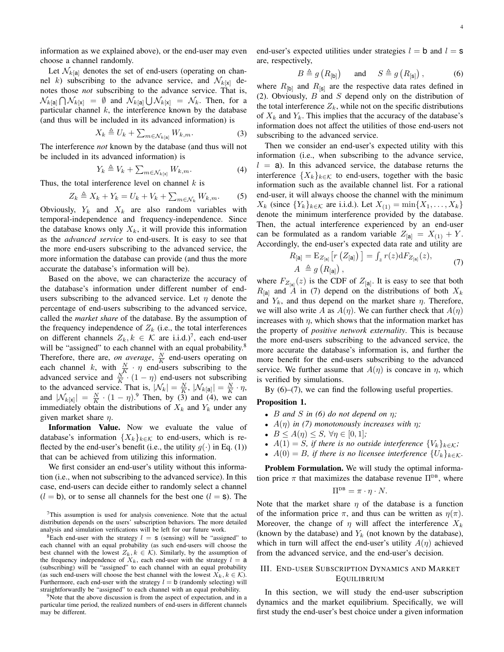information as we explained above), or the end-user may even choose a channel randomly.

Let  $\mathcal{N}_{k[\mathbf{a}]}$  denotes the set of end-users (operating on channel k) subscribing to the advance service, and  $\mathcal{N}_{k[x]}$  denotes those *not* subscribing to the advance service. That is,  $\mathcal{N}_{k[\mathsf{a}]} \bigcap \mathcal{N}_{k[\mathsf{x}]} \; = \; \emptyset \; \text{ and } \; \mathcal{N}_{k[\mathsf{a}]} \bigcup \mathcal{N}_{k[\mathsf{x}]} \; = \; \mathcal{N}_k.$  Then, for a particular channel  $k$ , the interference known by the database (and thus will be included in its advanced information) is

$$
X_k \triangleq U_k + \sum_{m \in \mathcal{N}_{k[\mathbf{a}]}} W_{k,m}.
$$
 (3)

The interference *not* known by the database (and thus will not be included in its advanced information) is

$$
Y_k \triangleq V_k + \sum_{m \in \mathcal{N}_{k[\mathbf{x}]}} W_{k,m}.
$$
 (4)

Thus, the total interference level on channel  $k$  is

$$
Z_k \triangleq X_k + Y_k = U_k + V_k + \sum_{m \in \mathcal{N}_k} W_{k,m}.
$$
 (5)

Obviously,  $Y_k$  and  $X_k$  are also random variables with temporal-independence and frequency-independence. Since the database knows only  $X_k$ , it will provide this information as the *advanced service* to end-users. It is easy to see that the more end-users subscribing to the advanced service, the more information the database can provide (and thus the more accurate the database's information will be).

Based on the above, we can characterize the accuracy of the database's information under different number of endusers subscribing to the advanced service. Let  $\eta$  denote the percentage of end-users subscribing to the advanced service, called the *market share* of the database. By the assumption of the frequency independence of  $Z_k$  (i.e., the total interferences on different channels  $Z_k, k \in \mathcal{K}$  are i.i.d.)<sup>7</sup>, each end-user will be "assigned" to each channel with an equal probability.<sup>8</sup> Therefore, there are, *on average*,  $\frac{N}{K}$  end-users operating on Fincturely, there are, on average,  $K$  the assess operating on<br>each channel k, with  $\frac{N}{K} \cdot \eta$  end-users subscribing to the advanced service and  $\frac{N}{K} \cdot (1 - \eta)$  end-users not subscribing to the advanced service. That is,  $|\mathcal{N}_k| = \frac{N}{K}$ ,  $|\mathcal{N}_{k}[\mathbf{a}]\rangle = \frac{N}{K} \cdot \eta$ , and  $|\mathcal{N}_{k[x]}| = \frac{N}{K} \cdot (1 - \eta)^9$ . Then, by (3) and (4), we can immediately obtain the distributions of  $X_k$  and  $Y_k$  under any given market share  $\eta$ .

Information Value. Now we evaluate the value of database's information  $\{X_k\}_{k\in\mathcal{K}}$  to end-users, which is reflected by the end-user's benefit (i.e., the utility  $g(\cdot)$  in Eq. (1)) that can be achieved from utilizing this information.

We first consider an end-user's utility without this information (i.e., when not subscribing to the advanced service). In this case, end-users can decide either to randomly select a channel  $(l = b)$ , or to sense all channels for the best one  $(l = s)$ . The end-user's expected utilities under strategies  $l = b$  and  $l = s$ are, respectively,

$$
B \triangleq g\left(R_{\text{[b]}}\right) \quad \text{and} \quad S \triangleq g\left(R_{\text{[s]}}\right), \tag{6}
$$

where  $R_{\text{b}}$  and  $R_{\text{[s]}}$  are the respective data rates defined in (2). Obviously,  $B$  and  $S$  depend only on the distribution of the total interference  $Z_k$ , while not on the specific distributions of  $X_k$  and  $Y_k$ . This implies that the accuracy of the database's information does not affect the utilities of those end-users not subscribing to the advanced service.

Then we consider an end-user's expected utility with this information (i.e., when subscribing to the advance service,  $l = a$ ). In this advanced service, the database returns the interference  $\{X_k\}_{k\in\mathcal{K}}$  to end-users, together with the basic information such as the available channel list. For a rational end-user, it will always choose the channel with the minimum  $X_k$  (since  $\{Y_k\}_{k\in\mathcal{K}}$  are i.i.d.). Let  $X_{(1)} = \min\{X_1, \ldots, X_k\}$ denote the minimum interference provided by the database. Then, the actual interference experienced by an end-user can be formulated as a random variable  $Z_{[a]} = X_{(1)} + Y$ . Accordingly, the end-user's expected data rate and utility are

$$
R_{[\mathbf{a}]} = \mathbf{E}_{Z_{[\mathbf{a}]}} \left[ r \left( Z_{[\mathbf{a}]} \right) \right] = \int_{z} r(z) dF_{Z_{[\mathbf{a}]}}(z),
$$
  
\n
$$
A \triangleq g \left( R_{[\mathbf{a}]} \right),
$$
\n(7)

where  $F_{Z_{[a]}}(z)$  is the CDF of  $Z_{[a]}$ . It is easy to see that both  $R_{\text{[a]}}$  and A in (7) depend on the distributions of both  $X_k$ and  $Y_k$ , and thus depend on the market share  $\eta$ . Therefore, we will also write A as  $A(\eta)$ . We can further check that  $A(\eta)$ increases with  $\eta$ , which shows that the information market has the property of *positive network externality*. This is because the more end-users subscribing to the advanced service, the more accurate the database's information is, and further the more benefit for the end-users subscribing to the advanced service. We further assume that  $A(\eta)$  is concave in  $\eta$ , which is verified by simulations.

By  $(6)$ – $(7)$ , we can find the following useful properties.

#### Proposition 1.

- $B$  *and*  $S$  *in* (6) *do not depend on*  $\eta$ ;
- $A(\eta)$  *in (7) monotonously increases with*  $\eta$ ;
- $B \le A(\eta) \le S$ ,  $\forall \eta \in [0,1]$ ;
- $A(1) = S$ *, if there is no outside interference*  ${V_k}_{k \in K}$ *;*
- $A(0) = B$ , if there is no licensee interference  $\{U_k\}_{k \in \mathcal{K}}$ .

Problem Formulation. We will study the optimal information price  $\pi$  that maximizes the database revenue  $\Pi^{DB}$ , where

$$
\Pi^{\text{DB}} = \pi \cdot \eta \cdot N.
$$

Note that the market share  $\eta$  of the database is a function of the information price  $\pi$ , and thus can be written as  $\eta(\pi)$ . Moreover, the change of  $\eta$  will affect the interference  $X_k$ (known by the database) and  $Y_k$  (not known by the database), which in turn will affect the end-user's utility  $A(\eta)$  achieved from the advanced service, and the end-user's decision.

## III. END-USER SUBSCRIPTION DYNAMICS AND MARKET **EQUILIBRIUM**

In this section, we will study the end-user subscription dynamics and the market equilibrium. Specifically, we will first study the end-user's best choice under a given information

<sup>7</sup>This assumption is used for analysis convenience. Note that the actual distribution depends on the users' subscription behaviors. The more detailed analysis and simulation verifications will be left for our future work.

<sup>&</sup>lt;sup>8</sup>Each end-user with the strategy  $l = s$  (sensing) will be "assigned" to each channel with an equal probability (as such end-users will choose the best channel with the lowest  $Z_k, k \in \mathcal{K}$ ). Similarly, by the assumption of the frequency independence of  $X_k$ , each end-user with the strategy  $l = a$ (subscribing) will be "assigned" to each channel with an equal probability (as such end-users will choose the best channel with the lowest  $X_k, k \in \mathcal{K}$ ). Furthermore, each end-user with the strategy  $l = b$  (randomly selecting) will straightforwardly be "assigned" to each channel with an equal probability.

 $9^9$ Note that the above discussion is from the aspect of expectation, and in a particular time period, the realized numbers of end-users in different channels may be different.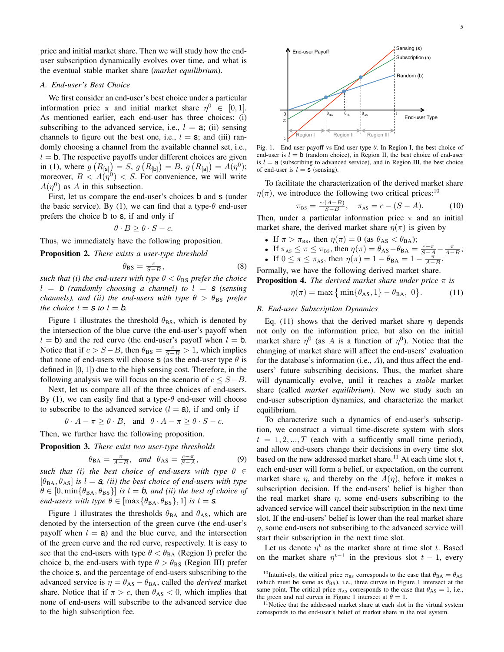price and initial market share. Then we will study how the enduser subscription dynamically evolves over time, and what is the eventual stable market share (*market equilibrium*).

#### *A. End-user's Best Choice*

We first consider an end-user's best choice under a particular information price  $\pi$  and initial market share  $\eta^0 \in [0,1]$ . As mentioned earlier, each end-user has three choices: (i) subscribing to the advanced service, i.e.,  $l = a$ ; (ii) sensing channels to figure out the best one, i.e.,  $l = s$ ; and (iii) randomly choosing a channel from the available channel set, i.e.,  $l = b$ . The respective payoffs under different choices are given in (1), where  $g(R_{[\mathbf{s}]}) = S$ ,  $g(R_{[\mathbf{b}]}) = B$ ,  $g(R_{[\mathbf{a}]}) = A(\eta^0)$ ; moreover,  $B < A(\eta^0) < S$ . For convenience, we will write  $A(\eta^0)$  as A in this subsection.

First, let us compare the end-user's choices **b** and **s** (under the basic service). By (1), we can find that a type- $\theta$  end-user prefers the choice b to s, if and only if

$$
\theta \cdot B \ge \theta \cdot S - c.
$$

Thus, we immediately have the following proposition.

Proposition 2. *There exists a user-type threshold*

$$
\theta_{\rm BS} = \frac{c}{S - B},\tag{8}
$$

*such that (i) the end-users with type*  $\theta < \theta_{\text{BS}}$  *prefer the choice*  $l = b$  (randomly choosing a channel) to  $l = s$  (sensing *channels), and (ii) the end-users with type*  $\theta > \theta_{BS}$  *prefer the choice*  $l = s$  *to*  $l = b$ *.* 

Figure 1 illustrates the threshold  $\theta_{BS}$ , which is denoted by the intersection of the blue curve (the end-user's payoff when  $l = b$ ) and the red curve (the end-user's payoff when  $l = b$ . Notice that if  $c > S - B$ , then  $\theta_{BS} = \frac{c}{S - B} > 1$ , which implies that none of end-users will choose s (as the end-user type  $\theta$  is defined in  $[0, 1]$  due to the high sensing cost. Therefore, in the following analysis we will focus on the scenario of  $c \leq S - B$ .

Next, let us compare all of the three choices of end-users. By (1), we can easily find that a type- $\theta$  end-user will choose to subscribe to the advanced service  $(l = a)$ , if and only if

 $\theta \cdot A - \pi \ge \theta \cdot B$ , and  $\theta \cdot A - \pi \ge \theta \cdot S - c$ .

Then, we further have the following proposition.

Proposition 3. *There exist two user-type thresholds*

$$
\theta_{BA} = \frac{\pi}{A-B}
$$
, and  $\theta_{AS} = \frac{c-\pi}{S-A}$ ,

, (9)

*such that (i) the best choice of end-users with type*  $\theta \in$  $[\theta_{BA}, \theta_{AS}]$  *is*  $l = a$ , *(ii) the best choice of end-users with type*  $\theta \in [0, \min\{\theta_{BA}, \theta_{BS}\}]$  *is*  $l = b$ *, and (ii) the best of choice of end-users with type*  $\theta \in [\max{\{\theta_{BA}, \theta_{BS}\}}, 1]$  *is*  $l = s$ *.* 

Figure 1 illustrates the thresholds  $\theta_{BA}$  and  $\theta_{AS}$ , which are denoted by the intersection of the green curve (the end-user's payoff when  $l = a$ ) and the blue curve, and the intersection of the green curve and the red curve, respectively. It is easy to see that the end-users with type  $\theta < \theta_{BA}$  (Region I) prefer the choice b, the end-users with type  $\theta > \theta_{BS}$  (Region III) prefer the choice s, and the percentage of end-users subscribing to the advanced service is  $\eta = \theta_{AS} - \theta_{BA}$ , called the *derived* market share. Notice that if  $\pi > c$ , then  $\theta_{AS} < 0$ , which implies that none of end-users will subscribe to the advanced service due to the high subscription fee.





end-user is  $l = b$  (random choice), in Region II, the best choice of end-user is  $l = a$  (subscribing to advanced service), and in Region III, the best choice of end-user is  $l = s$  (sensing).

To facilitate the characterization of the derived market share  $\eta(\pi)$ , we introduce the following two critical prices:<sup>10</sup>

$$
\pi_{\rm BS} = \frac{c \cdot (A - B)}{S - B}, \quad \pi_{\rm AS} = c - (S - A). \tag{10}
$$

Then, under a particular information price  $\pi$  and an initial market share, the derived market share  $\eta(\pi)$  is given by

- If  $\pi > \pi_{BS}$ , then  $\eta(\pi) = 0$  (as  $\theta_{AS} < \theta_{BA}$ );
- If  $\pi_{AS} \leq \pi \leq \pi_{BS}$ , then  $\eta(\pi) = \theta_{AS} \theta_{BA} = \frac{c \pi}{S A} \frac{\pi}{A B}$ ;
- If  $0 \le \pi \le \pi_{\text{As}}$ , then  $\eta(\pi) = 1 \theta_{\text{BA}} = 1 \frac{\pi}{A B}$ .

Formally, we have the following derived market share. **Proposition 4.** *The derived market share under price*  $\pi$  *is* 

$$
\eta(\pi) = \max\left\{\min\{\theta_{AS}, 1\} - \theta_{BA}, 0\right\}.
$$
 (11)

### *B. End-user Subscription Dynamics*

Eq. (11) shows that the derived market share  $\eta$  depends not only on the information price, but also on the initial market share  $\eta^0$  (as A is a function of  $\eta^0$ ). Notice that the changing of market share will affect the end-users' evaluation for the database's information (i.e., A), and thus affect the endusers' future subscribing decisions. Thus, the market share will dynamically evolve, until it reaches a *stable* market share (called *market equilibrium*). Now we study such an end-user subscription dynamics, and characterize the market equilibrium.

To characterize such a dynamics of end-user's subscription, we construct a virtual time-discrete system with slots  $t = 1, 2, ..., T$  (each with a sufficently small time period), and allow end-users change their decisions in every time slot based on the new addressed market share.<sup>11</sup> At each time slot  $t$ , each end-user will form a belief, or expectation, on the current market share  $\eta$ , and thereby on the  $A(\eta)$ , before it makes a subscription decision. If the end-users' belief is higher than the real market share  $\eta$ , some end-users subscribing to the advanced service will cancel their subscription in the next time slot. If the end-users' belief is lower than the real market share  $\eta$ , some end-users not subscribing to the advanced service will start their subscription in the next time slot.

Let us denote  $\eta^t$  as the market share at time slot t. Based on the market share  $\eta^{t-1}$  in the previous slot  $t-1$ , every

 $11$ Notice that the addressed market share at each slot in the virtual system corresponds to the end-user's belief of market share in the real system.

<sup>&</sup>lt;sup>10</sup>Intuitively, the critical price  $\pi_{BS}$  corresponds to the case that  $\theta_{BA} = \theta_{AS}$ (which must be same as  $\theta_{\text{BS}}$ ), i.e., three curves in Figure 1 intersect at the same point. The critical price  $\pi_{AS}$  corresponds to the case that  $\theta_{AS} = 1$ , i.e., the green and red curves in Figure 1 intersect at  $\theta = 1$ .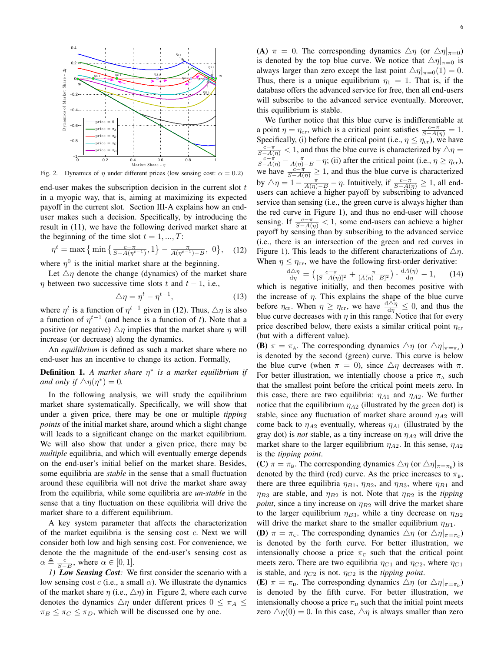

Fig. 2. Dynamics of  $\eta$  under different prices (low sensing cost:  $\alpha = 0.2$ )

end-user makes the subscription decision in the current slot  $t$ in a myopic way, that is, aiming at maximizing its expected payoff in the current slot. Section III-A explains how an enduser makes such a decision. Specifically, by introducing the result in (11), we have the following derived market share at the beginning of the time slot  $t = 1, ..., T$ :

$$
\eta^t = \max\left\{\min\left\{\frac{c-\pi}{S-A(\eta^{t-1})}, 1\right\} - \frac{\pi}{A(\eta^{t-1})-B}, 0\right\},\tag{12}
$$

where  $\eta^0$  is the initial market share at the beginning.

Let  $\Delta \eta$  denote the change (dynamics) of the market share  $\eta$  between two successive time slots t and  $t - 1$ , i.e.,

$$
\triangle \eta = \eta^t - \eta^{t-1},\tag{13}
$$

where  $\eta^t$  is a function of  $\eta^{t-1}$  given in (12). Thus,  $\triangle \eta$  is also a function of  $\eta^{t-1}$  (and hence is a function of t). Note that a positive (or negative)  $\Delta \eta$  implies that the market share  $\eta$  will increase (or decrease) along the dynamics.

An *equilibrium* is defined as such a market share where no end-user has an incentive to change its action. Formally,

**Definition 1.** *A market share* η<sup>∗</sup> is *a market equilibrium if and only if*  $\Delta \eta(\eta^*) = 0$ *.* 

In the following analysis, we will study the equilibrium market share systematically. Specifically, we will show that under a given price, there may be one or multiple *tipping points* of the initial market share, around which a slight change will leads to a significant change on the market equilibrium. We will also show that under a given price, there may be *multiple* equilibria, and which will eventually emerge depends on the end-user's initial belief on the market share. Besides, some equilibria are *stable* in the sense that a small fluctuation around these equilibria will not drive the market share away from the equilibria, while some equilibria are *un-stable* in the sense that a tiny fluctuation on these equilibria will drive the market share to a different equilibrium.

A key system parameter that affects the characterization of the market equilibria is the sensing cost  $c$ . Next we will consider both low and high sensing cost. For convenience, we denote the the magnitude of the end-user's sensing cost as  $\alpha \triangleq \frac{c}{S-B}$ , where  $\alpha \in [0,1]$ .

*1) Low Sensing Cost:* We first consider the scenario with a low sensing cost c (i.e., a small  $\alpha$ ). We illustrate the dynamics of the market share  $\eta$  (i.e.,  $\triangle \eta$ ) in Figure 2, where each curve denotes the dynamics  $\Delta \eta$  under different prices  $0 \leq \pi_A \leq$  $\pi_B \leq \pi_C \leq \pi_D$ , which will be discussed one by one.

(A)  $\pi = 0$ . The corresponding dynamics  $\Delta \eta$  (or  $\Delta \eta |_{\pi=0}$ ) is denoted by the top blue curve. We notice that  $\Delta \eta|_{\pi=0}$  is always larger than zero except the last point  $\Delta \eta|_{\pi=0}(1) = 0$ . Thus, there is a unique equilibrium  $\eta_1 = 1$ . That is, if the database offers the advanced service for free, then all end-users will subscribe to the advanced service eventually. Moreover, this equilibrium is stable.

We further notice that this blue curve is indifferentiable at a point  $\eta = \eta_{cr}$ , which is a critical point satisfies  $\frac{c - \pi}{S - A(\eta)} = 1$ . Specifically, (i) before the critical point (i.e.,  $\eta \leq \eta_{cr}$ ), we have  $\frac{c-\pi}{S-A(\eta)} < 1$ , and thus the blue curve is characterized by  $\triangle \eta =$  $\frac{c-\pi}{S-A(\eta)} - \frac{\pi}{A(\eta)-B} - \eta$ ; (ii) after the critical point (i.e.,  $\eta \ge \eta_{cr}$ ), we have  $\frac{c-\pi}{S-A(\eta)} \geq 1$ , and thus the blue curve is characterized by  $\Delta \eta = 1 - \frac{\pi}{A(\eta) - B} - \eta$ . Intuitively, if  $\frac{c - \pi}{S - A(\eta)} \ge 1$ , all endusers can achieve a higher payoff by subscribing to advanced service than sensing (i.e., the green curve is always higher than the red curve in Figure 1), and thus no end-user will choose sensing. If  $\frac{c - \pi}{S - A(\eta)} < 1$ , some end-users can achieve a higher payoff by sensing than by subscribing to the advanced service (i.e., there is an intersection of the green and red curves in Figure 1). This leads to the different characterizations of  $\Delta \eta$ . When  $\eta \leq \eta_{\rm cr}$ , we have the following first-order derivative:

$$
\frac{\mathrm{d}\Delta\eta}{\mathrm{d}\eta} = \left(\frac{c-\pi}{[S-A(\eta)]^2} + \frac{\pi}{[A(\eta)-B]^2}\right) \cdot \frac{\mathrm{d}A(\eta)}{\mathrm{d}\eta} - 1,\qquad(14)
$$

which is negative initially, and then becomes positive with the increase of  $\eta$ . This explains the shape of the blue curve before  $\eta_{cr}$ . When  $\eta \ge \eta_{cr}$ , we have  $\frac{d\Delta \eta}{d\eta} \le 0$ , and thus the blue curve decreases with  $\eta$  in this range. Notice that for every price described below, there exists a similar critical point  $\eta_{cr}$ (but with a different value).

**(B)**  $\pi = \pi_A$ . The corresponding dynamics  $\Delta \eta$  (or  $\Delta \eta|_{\pi = \pi_A}$ ) is denoted by the second (green) curve. This curve is below the blue curve (when  $\pi = 0$ ), since  $\Delta \eta$  decreases with  $\pi$ . For better illustration, we intentially choose a price  $\pi_A$  such that the smallest point before the critical point meets zero. In this case, there are two equilibria:  $\eta_{A1}$  and  $\eta_{A2}$ . We further notice that the equilibrium  $\eta_{A2}$  (illustrated by the green dot) is stable, since any fluctuation of market share around  $\eta_{A2}$  will come back to  $\eta_{A2}$  eventually, whereas  $\eta_{A1}$  (illustrated by the gray dot) is *not* stable, as a tiny increase on  $\eta_{A2}$  will drive the market share to the larger equilibrium  $\eta_{A2}$ . In this sense,  $\eta_{A2}$ is the *tipping point*.

(C)  $\pi = \pi_{\text{B}}$ . The corresponding dynamics  $\Delta \eta$  (or  $\Delta \eta|_{\pi = \pi_{\text{B}}}$ ) is denoted by the third (red) curve. As the price increases to  $\pi_B$ , there are three equilibria  $\eta_{B1}$ ,  $\eta_{B2}$ , and  $\eta_{B3}$ , where  $\eta_{B1}$  and  $\eta_{B3}$  are stable, and  $\eta_{B2}$  is not. Note that  $\eta_{B2}$  is the *tipping point*, since a tiny increase on  $\eta_{B2}$  will drive the market share to the larger equilibrium  $\eta_{B3}$ , while a tiny decrease on  $\eta_{B2}$ will drive the market share to the smaller equilibrium  $\eta_{B1}$ .

**(D)**  $\pi = \pi_c$ . The corresponding dynamics  $\Delta \eta$  (or  $\Delta \eta|_{\pi = \pi_c}$ ) is denoted by the forth curve. For better illustration, we intensionally choose a price  $\pi_c$  such that the critical point meets zero. There are two equilibria  $\eta_{C1}$  and  $\eta_{C2}$ , where  $\eta_{C1}$ is stable, and  $\eta_{C2}$  is not.  $\eta_{C2}$  is the *tipping point*.

(E)  $\pi = \pi_{D}$ . The corresponding dynamics  $\Delta \eta$  (or  $\Delta \eta|_{\pi = \pi_{D}}$ ) is denoted by the fifth curve. For better illustration, we intensionally choose a price  $\pi_{\rm D}$  such that the initial point meets zero  $\Delta \eta(0) = 0$ . In this case,  $\Delta \eta$  is always smaller than zero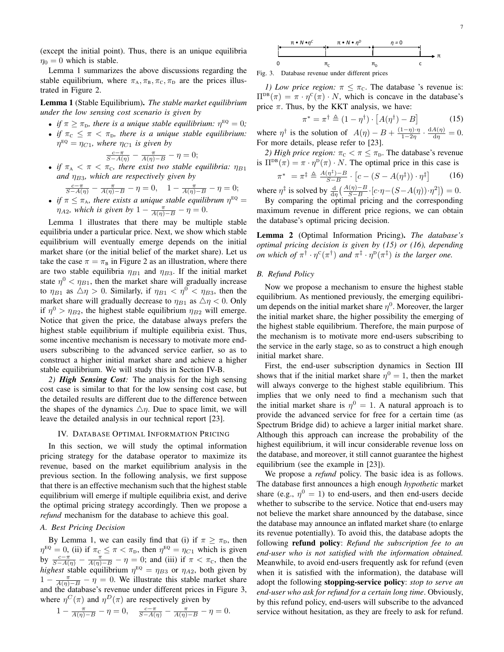(except the initial point). Thus, there is an unique equilibria  $\eta_0 = 0$  which is stable.

Lemma 1 summarizes the above discussions regarding the stable equilibrium, where  $\pi_A, \pi_B, \pi_C, \pi_D$  are the prices illustrated in Figure 2.

Lemma 1 (Stable Equilibrium). *The stable market equilibrium under the low sensing cost scenario is given by*

- *if*  $\pi \geq \pi_{\text{D}}$ , there is a unique stable equilibrium:  $\eta^{\text{EQ}} = 0$ ;
- *if*  $\pi_c \leq \pi < \pi_D$ , there is a unique stable equilibrium:  $\eta^{\texttt{EQ}} = \eta_{C1}$ , where  $\eta_{C1}$  is given by

$$
\frac{c-\pi}{S-A(\eta)} - \frac{\pi}{A(\eta)-B} - \eta = 0;
$$

• *if*  $\pi_A < \pi < \pi_C$ , there exist two stable equilibria:  $\eta_{B1}$ *and*  $\eta_{B3}$ *, which are respectively given by* 

$$
\frac{c-\pi}{S-A(\eta)} - \frac{\pi}{A(\eta)-B} - \eta = 0, \quad 1 - \frac{\pi}{A(\eta)-B} - \eta = 0;
$$
  
• *if*  $\pi \le \pi_A$ , there exists a unique stable equilibrium  $\eta^{EQ} = \eta_{A2}$ , which is given by  $1 - \frac{\pi}{A(\eta)-B} - \eta = 0$ .

Lemma 1 illustrates that there may be multiple stable equilibria under a particular price. Next, we show which stable equilibrium will eventually emerge depends on the initial market share (or the initial belief of the market share). Let us take the case  $\pi = \pi_B$  in Figure 2 as an illustration, where there are two stable equilibria  $\eta_{B1}$  and  $\eta_{B3}$ . If the initial market state  $\eta^0$  <  $\eta_{B1}$ , then the market share will gradually increase to  $\eta_{B1}$  as  $\Delta \eta > 0$ . Similarly, if  $\eta_{B1} < \eta_0^0 < \eta_{B3}$ , then the market share will gradually decrease to  $\eta_{B1}$  as  $\Delta \eta < 0$ . Only if  $\eta^0 > \eta_{B2}$ , the highest stable equilibrium  $\eta_{B2}$  will emerge. Notice that given the price, the database always prefers the highest stable equilibrium if multiple equilibria exist. Thus, some incentive mechanism is necessary to motivate more endusers subscribing to the advanced service earlier, so as to construct a higher initial market share and achieve a higher stable equilibrium. We will study this in Section IV-B.

*2) High Sensing Cost:* The analysis for the high sensing cost case is similar to that for the low sensing cost case, but the detailed results are different due to the difference between the shapes of the dynamics  $\Delta \eta$ . Due to space limit, we will leave the detailed analysis in our technical report [23].

## IV. DATABASE OPTIMAL INFORMATION PRICING

In this section, we will study the optimal information pricing strategy for the database operator to maximize its revenue, based on the market equilibrium analysis in the previous section. In the following analysis, we first suppose that there is an effective mechanism such that the highest stable equilibrium will emerge if multiple equilibria exist, and derive the optimal pricing strategy accordingly. Then we propose a *refund* mechanism for the database to achieve this goal.

#### *A. Best Pricing Decision*

By Lemma 1, we can easily find that (i) if  $\pi \geq \pi_{D}$ , then  $\eta^{\text{EQ}} = 0$ , (ii) if  $\pi_{\text{C}} \le \pi < \pi_{\text{D}}$ , then  $\eta^{\text{EQ}} = \eta_{C1}$  which is given by  $\frac{c-\pi}{S-A(\eta)} - \frac{\pi}{A(\eta)-B} - \eta = 0$ ; and (iii) if  $\pi < \pi_c$ , then the *highest* stable equilibrium  $\eta^{EQ} = \eta_{B3}$  or  $\eta_{A2}$ , both given by  $1 - \frac{\pi}{A(\eta) - B} - \eta = 0$ . We illustrate this stable market share and the database's revenue under different prices in Figure 3, where  $\eta^C(\pi)$  and  $\eta^D(\pi)$  are respectively given by

$$
1 - \frac{\pi}{A(\eta) - B} - \eta = 0, \quad \frac{c - \pi}{S - A(\eta)} - \frac{\pi}{A(\eta) - B} - \eta = 0.
$$



Fig. 3. Database revenue under different prices

*1) Low price region:*  $\pi \leq \pi_c$ . The database 's revenue is:  $\Pi^{\text{DB}}(\pi) = \pi \cdot \eta^{\text{C}}(\pi) \cdot N$ , which is concave in the database's price  $\pi$ . Thus, by the KKT analysis, we have:

$$
\pi^* = \pi^\dagger \triangleq (1 - \eta^\dagger) \cdot [A(\eta^\dagger) - B] \tag{15}
$$

where  $\eta^{\dagger}$  is the solution of  $A(\eta) - B + \frac{(1-\eta)\cdot \eta}{1-2n}$  $\frac{1-\eta)\cdot\eta}{1-2\eta}\cdot\frac{\mathrm{d}A(\eta)}{\mathrm{d}\eta}$  $\frac{A(\eta)}{d\eta}=0.$ For more details, please refer to [23].

*2) High price region:*  $\pi_c < \pi \leq \pi_D$ . The database's revenue is  $\Pi^{\text{DB}}(\pi) = \pi \cdot \eta^{\text{D}}(\pi) \cdot N$ . The optimal price in this case is  $\pi^* = \pi^{\ddagger} \triangleq \frac{A(\eta^{\ddagger})-B}{S-B}$  $\frac{(\eta^*)-B}{S-B}\cdot\left[c-(S-A(\eta^{\ddagger}))\cdot\eta^{\ddagger}\right]$ (16)

where  $\eta^{\ddagger}$  is solved by  $\frac{d}{d\eta} \left( \frac{A(\eta) - B}{S - B} \cdot [c \cdot \eta - (S - A(\eta)) \cdot \eta^2] \right) = 0.$ 

By comparing the optimal pricing and the corresponding maximum revenue in different price regions, we can obtain the database's optimal pricing decision.

Lemma 2 (Optimal Information Pricing). *The database's optimal pricing decision is given by (15) or (16), depending on which of*  $\pi^{\dagger} \cdot \eta^{\text{C}}(\pi^{\dagger})$  *and*  $\pi^{\ddagger} \cdot \eta^{\text{D}}(\pi^{\ddagger})$  *is the larger one.* 

#### *B. Refund Policy*

Now we propose a mechanism to ensure the highest stable equilibrium. As mentioned previously, the emerging equilibrium depends on the initial market share  $\eta^0$ . Moreover, the larger the initial market share, the higher possibility the emerging of the highest stable equilibrium. Therefore, the main purpose of the mechanism is to motivate more end-users subscribing to the service in the early stage, so as to construct a high enough initial market share.

First, the end-user subscription dynamics in Section III shows that if the initial market share  $\eta^0 = 1$ , then the market will always converge to the highest stable equilibrium. This implies that we only need to find a mechanism such that the initial market share is  $\eta^0 = 1$ . A natural approach is to provide the advanced service for free for a certain time (as Spectrum Bridge did) to achieve a larger initial market share. Although this approach can increase the probability of the highest equilibrium, it will incur considerable revenue loss on the database, and moreover, it still cannot guarantee the highest equilibrium (see the example in [23]).

We propose a *refund* policy. The basic idea is as follows. The database first announces a high enough *hypothetic* market share (e.g.,  $\eta^0 = 1$ ) to end-users, and then end-users decide whether to subscribe to the service. Notice that end-users may not believe the market share announced by the database, since the database may announce an inflated market share (to enlarge its revenue potentially). To avoid this, the database adopts the following refund policy: *Refund the subscription fee to an end-user who is not satisfied with the information obtained.* Meanwhile, to avoid end-users frequently ask for refund (even when it is satisfied with the information), the database will adopt the following stopping-service policy: *stop to serve an end-user who ask for refund for a certain long time*. Obviously, by this refund policy, end-users will subscribe to the advanced service without hesitation, as they are freely to ask for refund.